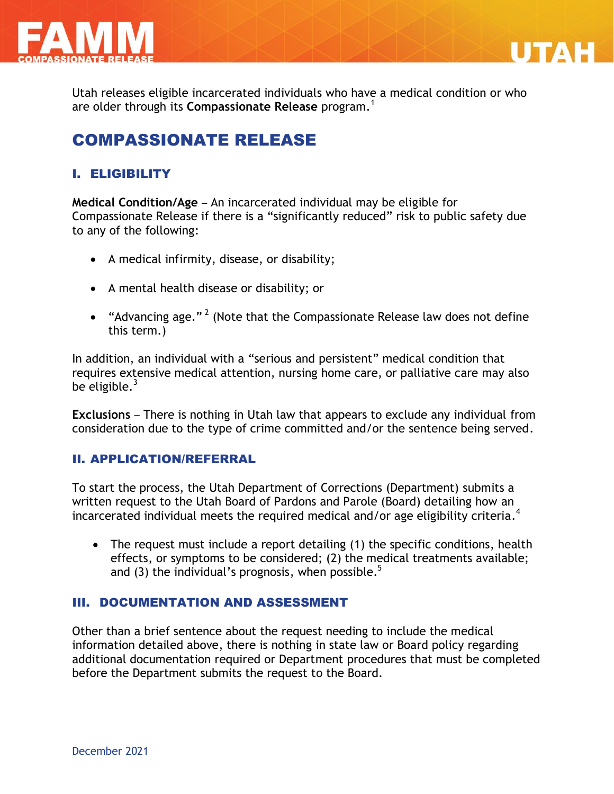



Utah releases eligible incarcerated individuals who have a medical condition or who are older through its **Compassionate Release** program.<sup>1</sup>

# COMPASSIONATE RELEASE

### I. ELIGIBILITY

**Medical Condition/Age** – An incarcerated individual may be eligible for Compassionate Release if there is a "significantly reduced" risk to public safety due to any of the following:

- A medical infirmity, disease, or disability;
- A mental health disease or disability; or
- "Advancing age."<sup>2</sup> (Note that the Compassionate Release law does not define this term.)

In addition, an individual with a "serious and persistent" medical condition that requires extensive medical attention, nursing home care, or palliative care may also be eligible. $3$ 

**Exclusions** – There is nothing in Utah law that appears to exclude any individual from consideration due to the type of crime committed and/or the sentence being served.

### II. APPLICATION/REFERRAL

To start the process, the Utah Department of Corrections (Department) submits a written request to the Utah Board of Pardons and Parole (Board) detailing how an incarcerated individual meets the required medical and/or age eligibility criteria.<sup>4</sup>

 The request must include a report detailing (1) the specific conditions, health effects, or symptoms to be considered; (2) the medical treatments available; and (3) the individual's prognosis, when possible.<sup>5</sup>

### III. DOCUMENTATION AND ASSESSMENT

Other than a brief sentence about the request needing to include the medical information detailed above, there is nothing in state law or Board policy regarding additional documentation required or Department procedures that must be completed before the Department submits the request to the Board.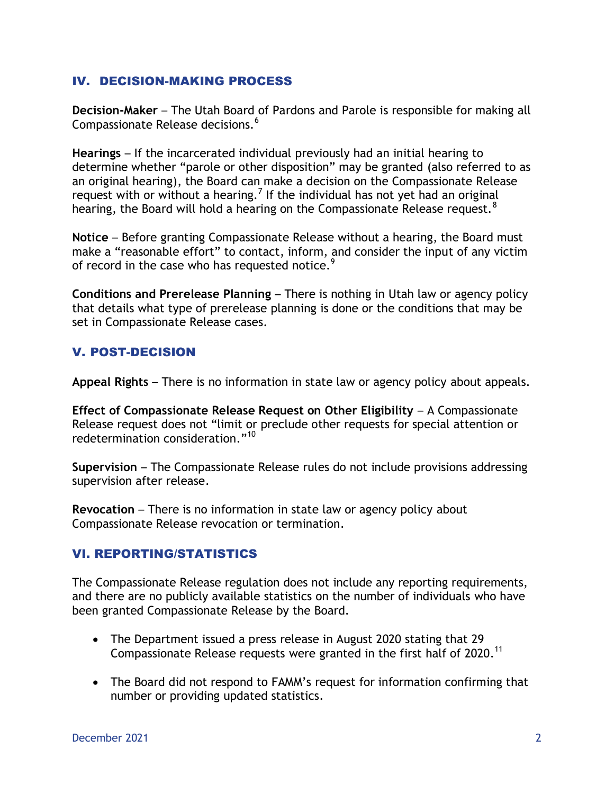#### IV. DECISION-MAKING PROCESS

**Decision-Maker** – The Utah Board of Pardons and Parole is responsible for making all Compassionate Release decisions.<sup>6</sup>

**Hearings** – If the incarcerated individual previously had an initial hearing to determine whether "parole or other disposition" may be granted (also referred to as an original hearing), the Board can make a decision on the Compassionate Release request with or without a hearing.<sup>7</sup> If the individual has not yet had an original hearing, the Board will hold a hearing on the Compassionate Release request.<sup>8</sup>

**Notice** – Before granting Compassionate Release without a hearing, the Board must make a "reasonable effort" to contact, inform, and consider the input of any victim of record in the case who has requested notice.<sup>9</sup>

**Conditions and Prerelease Planning** – There is nothing in Utah law or agency policy that details what type of prerelease planning is done or the conditions that may be set in Compassionate Release cases.

### V. POST-DECISION

**Appeal Rights** – There is no information in state law or agency policy about appeals.

**Effect of Compassionate Release Request on Other Eligibility** – A Compassionate Release request does not "limit or preclude other requests for special attention or redetermination consideration."<sup>10</sup>

**Supervision** – The Compassionate Release rules do not include provisions addressing supervision after release.

**Revocation** – There is no information in state law or agency policy about Compassionate Release revocation or termination.

### VI. REPORTING/STATISTICS

The Compassionate Release regulation does not include any reporting requirements, and there are no publicly available statistics on the number of individuals who have been granted Compassionate Release by the Board.

- The Department issued a press release in August 2020 stating that 29 Compassionate Release requests were granted in the first half of 2020.<sup>11</sup>
- The Board did not respond to FAMM's request for information confirming that number or providing updated statistics.